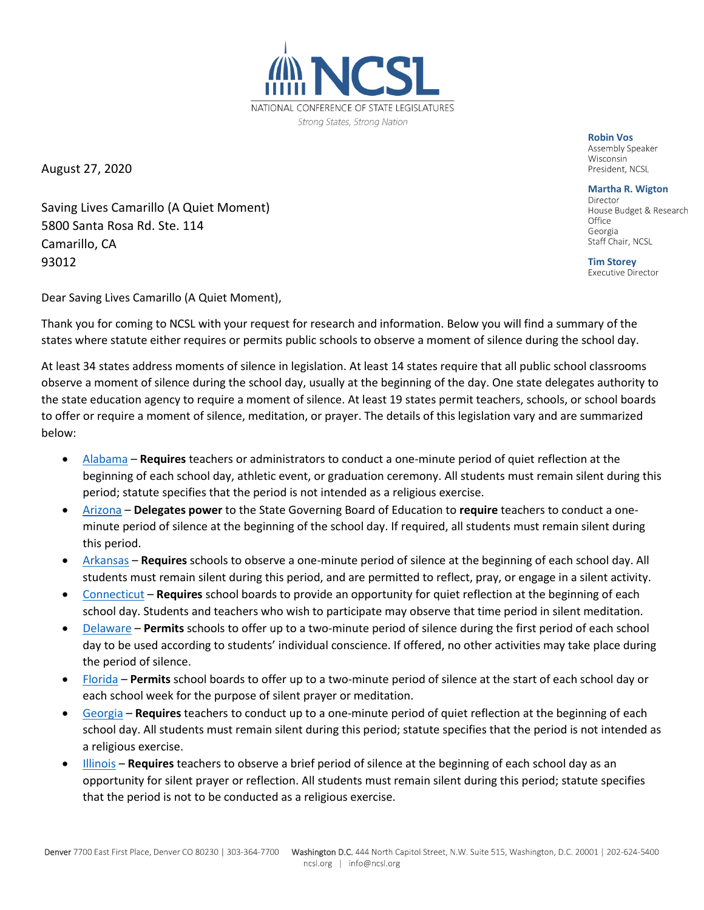

August 27, 2020

Saving Lives Camarillo (A Quiet Moment) 5800 Santa Rosa Rd. Ste. 114 Camarillo, CA 93012

**Robin Vos Wisconsin** President, NCSL

**Martha R. Wigton** House Budget & Research Office Georgia Staff Chair, NCSL

**Tim Storey**<br>Executive Director

Dear Saving Lives Camarillo (A Quiet Moment),

Thank you for coming to NCSL with your request for research and information. Below you will find a summary of the states where statute either requires or permits public schools to observe a moment of silence during the school day.

At least 34 states address moments of silence in legislation. At least 14 states require that all public school classrooms observe a moment of silence during the school day, usually at the beginning of the day. One state delegates authority to the state education agency to require a moment of silence. At least 19 states permit teachers, schools, or school boards to offer or require a moment of silence, meditation, or prayer. The details of this legislation vary and are summarized below:

- [Alabama](https://codes.findlaw.com/al/title-16-education/al-code-sect-16-1-20-4.html) **Requires** teachers or administrators to conduct a one-minute period of quiet reflection at the beginning of each school day, athletic event, or graduation ceremony. All students must remain silent during this period; statute specifies that the period is not intended as a religious exercise.
- [Arizona](https://www.azleg.gov/ars/15/00342.htm) **Delegates power** to the State Governing Board of Education to **require** teachers to conduct a oneminute period of silence at the beginning of the school day. If required, all students must remain silent during this period.
- [Arkansas](https://codes.findlaw.com/ar/title-6-education/ar-code-sect-6-10-115.html) **Requires** schools to observe a one-minute period of silence at the beginning of each school day. All students must remain silent during this period, and are permitted to reflect, pray, or engage in a silent activity.
- [Connecticut](https://law.justia.com/codes/connecticut/2012/title-10/chapter-164/section-10-16a/) **Requires** school boards to provide an opportunity for quiet reflection at the beginning of each school day. Students and teachers who wish to participate may observe that time period in silent meditation.
- [Delaware](https://delcode.delaware.gov/title14/c041/sc01/index.shtml) **Permits** schools to offer up to a two-minute period of silence during the first period of each school day to be used according to students' individual conscience. If offered, no other activities may take place during the period of silence.
- [Florida](https://www.flsenate.gov/Laws/Statutes/2011/1003.45) **Permits** school boards to offer up to a two-minute period of silence at the start of each school day or each school week for the purpose of silent prayer or meditation.
- [Georgia](https://codes.findlaw.com/ga/title-20-education/ga-code-sect-20-2-1050.html) **Requires** teachers to conduct up to a one-minute period of quiet reflection at the beginning of each school day. All students must remain silent during this period; statute specifies that the period is not intended as a religious exercise.
- [Illinois](https://www.ilga.gov/legislation/ilcs/ilcs3.asp?ActID=1008&ChapterID=17) **Requires** teachers to observe a brief period of silence at the beginning of each school day as an opportunity for silent prayer or reflection. All students must remain silent during this period; statute specifies that the period is not to be conducted as a religious exercise.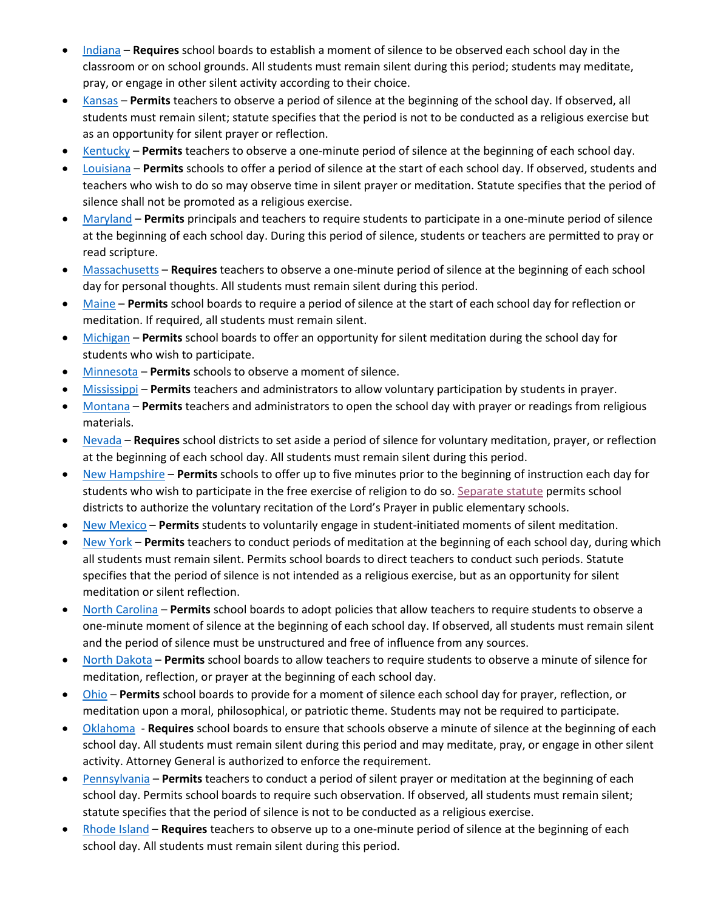- [Indiana](https://www.lawserver.com/law/state/indiana/in-code/indiana_code_20-30-5-4-5) **Requires** school boards to establish a moment of silence to be observed each school day in the classroom or on school grounds. All students must remain silent during this period; students may meditate, pray, or engage in other silent activity according to their choice.
- [Kansas](https://law.justia.com/codes/kansas/2012/chapter72/article53/section72-5308a/) **Permits** teachers to observe a period of silence at the beginning of the school day. If observed, all students must remain silent; statute specifies that the period is not to be conducted as a religious exercise but as an opportunity for silent prayer or reflection.
- [Kentucky](https://codes.findlaw.com/ky/title-xiii-education/ky-rev-st-sect-158-175.html) **Permits** teachers to observe a one-minute period of silence at the beginning of each school day.
- [Louisiana](https://law.justia.com/codes/louisiana/2011/rs/title17/rs17-2115/) **Permits** schools to offer a period of silence at the start of each school day. If observed, students and teachers who wish to do so may observe time in silent prayer or meditation. Statute specifies that the period of silence shall not be promoted as a religious exercise.
- [Maryland](https://law.justia.com/codes/maryland/2018/education/division-ii/title-7/subtitle-1/section-7-104/) **Permits** principals and teachers to require students to participate in a one-minute period of silence at the beginning of each school day. During this period of silence, students or teachers are permitted to pray or read scripture.
- [Massachusetts](https://malegislature.gov/Laws/GeneralLaws/PartI/TitleXII/Chapter71/Section1A) **Requires** teachers to observe a one-minute period of silence at the beginning of each school day for personal thoughts. All students must remain silent during this period.
- [Maine](https://www.mainelegislature.org/legis/statutes/20-A/title20-Asec4805.html) **Permits** school boards to require a period of silence at the start of each school day for reflection or meditation. If required, all students must remain silent.
- [Michigan](http://www.legislature.mi.gov/(S(i5e1lgolm2du3zxvdyvbk0w2))/documents/mcl/pdf/mcl-380-1565.pdf) **Permits** school boards to offer an opportunity for silent meditation during the school day for students who wish to participate.
- [Minnesota](https://www.revisor.mn.gov/statutes/cite/121A.10) **Permits** schools to observe a moment of silence.
- [Mississippi](https://law.justia.com/codes/mississippi/2013/title-37/chapter-13/in-general/section-37-13-4) **Permits** teachers and administrators to allow voluntary participation by students in prayer.
- [Montana](https://leg.mt.gov/bills/mca/20/7/20-7-112.htm#:~:text=Sectarian%20publications%20prohibited%20and%20prayer%20permitted.,-A%20publication%20of&text=However%2C%20any%20teacher%2C%20principal%2C,%2C%20historical%2C%20or%20educational%20significance.) **Permits** teachers and administrators to open the school day with prayer or readings from religious materials.
- [Nevada](https://law.justia.com/codes/nevada/2013/chapter-388/statute-388.075/) **Requires** school districts to set aside a period of silence for voluntary meditation, prayer, or reflection at the beginning of each school day. All students must remain silent during this period.
- [New Hampshire](http://www.gencourt.state.nh.us/rsa/html/XV/189/189-1-b.htm) **Permits** schools to offer up to five minutes prior to the beginning of instruction each day for students who wish to participate in the free exercise of religion to do so. [Separate statute](https://law.justia.com/codes/new-hampshire/2016/title-xv/chapter-194/section-194-15-a) permits school districts to authorize the voluntary recitation of the Lord's Prayer in public elementary schools.
- [New Mexico](https://law.justia.com/codes/new-mexico/2006/nmrc/jd_22-27-3-ab97.html) **Permits** students to voluntarily engage in student-initiated moments of silent meditation.
- [New York](https://codes.findlaw.com/ny/education-law/edn-sect-3029-a.html) **Permits** teachers to conduct periods of meditation at the beginning of each school day, during which all students must remain silent. Permits school boards to direct teachers to conduct such periods. Statute specifies that the period of silence is not intended as a religious exercise, but as an opportunity for silent meditation or silent reflection.
- [North Carolina](https://www.ncleg.net/enactedlegislation/statutes/html/bysection/chapter_115c/gs_115c-47.html) **Permits** school boards to adopt policies that allow teachers to require students to observe a one-minute moment of silence at the beginning of each school day. If observed, all students must remain silent and the period of silence must be unstructured and free of influence from any sources.
- [North Dakota](https://www.legis.nd.gov/cencode/t15-1c19.pdf#nameddest=15p1-19-03) **Permits** school boards to allow teachers to require students to observe a minute of silence for meditation, reflection, or prayer at the beginning of each school day.
- [Ohio](http://codes.ohio.gov/orc/3313.601v2) **Permits** school boards to provide for a moment of silence each school day for prayer, reflection, or meditation upon a moral, philosophical, or patriotic theme. Students may not be required to participate.
- [Oklahoma](https://law.justia.com/codes/oklahoma/2014/title-70/section-70-11-101.2/)  **Requires** school boards to ensure that schools observe a minute of silence at the beginning of each school day. All students must remain silent during this period and may meditate, pray, or engage in other silent activity. Attorney General is authorized to enforce the requirement.
- [Pennsylvania](https://casetext.com/statute/pennsylvania-statutes/statutes-unconsolidated/title-24-ps-education/chapter-1-public-school-code-of-1949/article-xv-terms-and-courses-of-study/prescribed-courses-and-instruction/section-15-15161-meditation-and-prayer-periods) **Permits** teachers to conduct a period of silent prayer or meditation at the beginning of each school day. Permits school boards to require such observation. If observed, all students must remain silent; statute specifies that the period of silence is not to be conducted as a religious exercise.
- [Rhode Island](https://law.justia.com/codes/rhode-island/2016/title-16/chapter-16-12/section-16-12-3.1) **Requires** teachers to observe up to a one-minute period of silence at the beginning of each school day. All students must remain silent during this period.